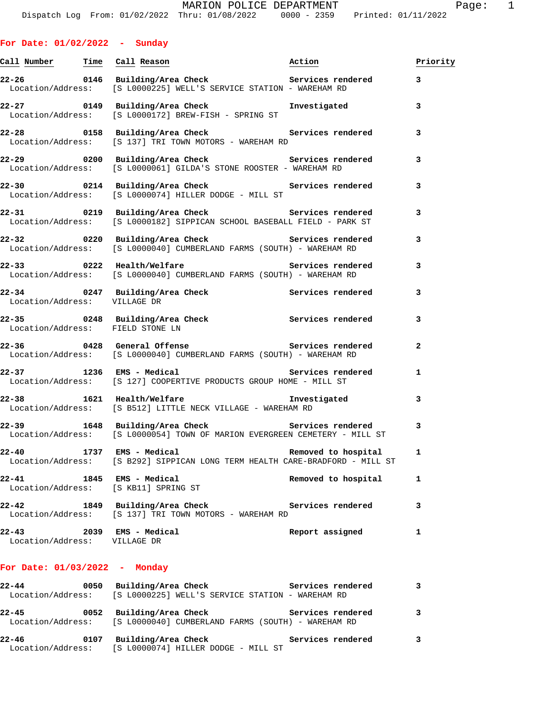|  |  | For Date: 01/02/2022 |  | Sunday |
|--|--|----------------------|--|--------|
|--|--|----------------------|--|--------|

|                                        | <u>Call Number — Time Call Reason</u>                                                                                                                                      | Action              | Priority |
|----------------------------------------|----------------------------------------------------------------------------------------------------------------------------------------------------------------------------|---------------------|----------|
|                                        | <br> 22-26                  0146   Building/Area Check                             Services rendered<br>Location/Address: [S L0000225] WELL'S SERVICE STATION - WAREHAM RD |                     | 3        |
|                                        | 22-27 0149 Building/Area Check <b>Investigated</b><br>Location/Address: [S L0000172] BREW-FISH - SPRING ST                                                                 |                     | 3        |
|                                        | Location/Address: [S 137] TRI TOWN MOTORS - WAREHAM RD                                                                                                                     |                     | 3        |
|                                        | Location/Address: [S L0000061] GILDA'S STONE ROOSTER - WAREHAM RD                                                                                                          |                     | 3        |
|                                        | Location/Address: [S L0000074] HILLER DODGE - MILL ST                                                                                                                      |                     | 3        |
|                                        | 22-31 0219 Building/Area Check 3ervices rendered<br>Location/Address: [S L0000182] SIPPICAN SCHOOL BASEBALL FIELD - PARK ST                                                |                     | 3        |
|                                        | 22-32 0220 Building/Area Check Services rendered<br>Location/Address: [S L0000040] CUMBERLAND FARMS (SOUTH) - WAREHAM RD                                                   |                     | 3        |
|                                        | 22-33 0222 Health/Welfare Services rendered<br>Location/Address: [S L0000040] CUMBERLAND FARMS (SOUTH) - WAREHAM RD                                                        |                     | 3        |
|                                        | 22-34 0247 Building/Area Check Services rendered<br>Location/Address: VILLAGE DR                                                                                           |                     | 3        |
| Location/Address: FIELD STONE LN       | 22-35 0248 Building/Area Check Services rendered                                                                                                                           |                     | 3        |
|                                        | Location/Address: [S L0000040] CUMBERLAND FARMS (SOUTH) - WAREHAM RD                                                                                                       |                     | 2        |
|                                        | 22-37 1236 EMS - Medical News Services rendered<br>Location/Address: [S 127] COOPERTIVE PRODUCTS GROUP HOME - MILL ST                                                      |                     | 1        |
|                                        | 22-38 1621 Health/Welfare manufacture investigated<br>Location/Address: [S B512] LITTLE NECK VILLAGE - WAREHAM RD                                                          |                     | 3        |
|                                        | 22-39 1648 Building/Area Check Services rendered<br>Location/Address: [S L0000054] TOWN OF MARION EVERGREEN CEMETERY - MILL ST                                             |                     | 3        |
| $22 - 40$                              | 1737 EMS - Medical<br>Location/Address: [S B292] SIPPICAN LONG TERM HEALTH CARE-BRADFORD - MILL ST                                                                         | Removed to hospital | 1        |
| $22 - 41$<br>1845<br>Location/Address: | EMS - Medical<br>[S KB11] SPRING ST                                                                                                                                        | Removed to hospital | 1        |
| $22 - 42$<br>1849<br>Location/Address: | Building/Area Check<br>[S 137] TRI TOWN MOTORS - WAREHAM RD                                                                                                                | Services rendered   | 3        |
| $22 - 43$<br>2039<br>Location/Address: | EMS - Medical<br>VILLAGE DR                                                                                                                                                | Report assigned     | 1        |

## **For Date: 01/03/2022 - Monday**

| $22 - 44$ | 0050 | Building/Area Check                                                                         | Services rendered |   |
|-----------|------|---------------------------------------------------------------------------------------------|-------------------|---|
|           |      | Location/Address: [S L0000225] WELL'S SERVICE STATION - WAREHAM RD                          |                   |   |
| $22 - 45$ | 0052 | Building/Area Check<br>Location/Address: [S L0000040] CUMBERLAND FARMS (SOUTH) - WAREHAM RD | Services rendered | 3 |
| $22 - 46$ | 0107 | Building/Area Check<br>Location/Address: [S L0000074] HILLER DODGE - MILL ST                | Services rendered | 3 |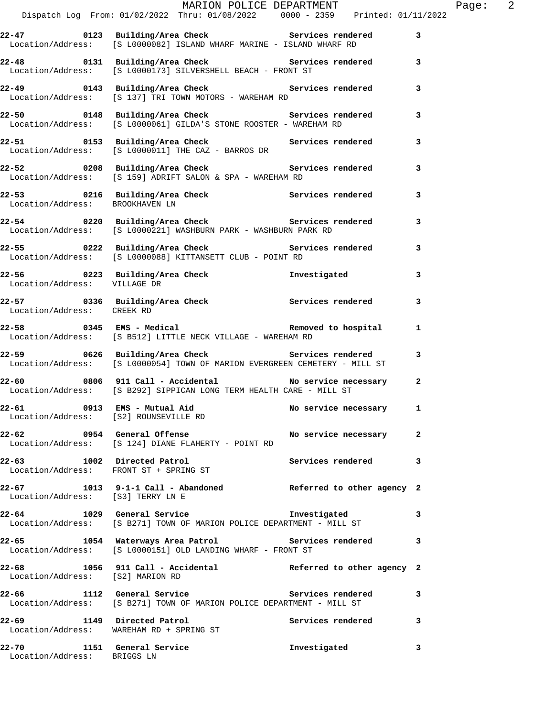|                                   |                                                                                                                                                                                   | MARION POLICE DEPARTMENT | Page: $2$ |  |
|-----------------------------------|-----------------------------------------------------------------------------------------------------------------------------------------------------------------------------------|--------------------------|-----------|--|
|                                   | 22-47 0123 Building/Area Check Services rendered 3<br>Location/Address: [S L0000082] ISLAND WHARF MARINE - ISLAND WHARF RD                                                        |                          |           |  |
|                                   | 22-48 0131 Building/Area Check Services rendered 3<br>Location/Address: [S L0000173] SILVERSHELL BEACH - FRONT ST                                                                 |                          |           |  |
|                                   | 22-49 0143 Building/Area Check Services rendered 3<br>Location/Address: [S 137] TRI TOWN MOTORS - WAREHAM RD                                                                      |                          |           |  |
|                                   | 22-50 0148 Building/Area Check Services rendered 3<br>Location/Address: [S L0000061] GILDA'S STONE ROOSTER - WAREHAM RD                                                           |                          |           |  |
|                                   | 22-51 0153 Building/Area Check Services rendered 3<br>Location/Address: [S L0000011] THE CAZ - BARROS DR                                                                          |                          |           |  |
|                                   | 22-52 0208 Building/Area Check Services rendered<br>Location/Address: [S 159] ADRIFT SALON & SPA - WAREHAM RD                                                                     |                          | 3         |  |
| Location/Address: BROOKHAVEN LN   |                                                                                                                                                                                   |                          |           |  |
|                                   | 22-54 0220 Building/Area Check 6 Services rendered 3<br>Location/Address: [S L0000221] WASHBURN PARK - WASHBURN PARK RD                                                           |                          |           |  |
|                                   | 22-55 0222 Building/Area Check 5ervices rendered 3<br>Location/Address: [S L0000088] KITTANSETT CLUB - POINT RD                                                                   |                          |           |  |
| Location/Address: VILLAGE DR      | 22-56 0223 Building/Area Check 1nvestigated                                                                                                                                       |                          | 3         |  |
| Location/Address: CREEK RD        | 22-57 0336 Building/Area Check Services rendered 3                                                                                                                                |                          |           |  |
|                                   | 22-58 0345 EMS - Medical Contract Removed to hospital and the set of the MS - Medical Contract Removed to hospital<br>Location/Address: [S B512] LITTLE NECK VILLAGE - WAREHAM RD |                          |           |  |
|                                   | 13 22-59 0626 Building/Area Check Services rendered<br>Location/Address: [S L0000054] TOWN OF MARION EVERGREEN CEMETERY - MILL ST                                                 |                          |           |  |
|                                   | 22-60 0806 911 Call - Accidental No service necessary 2<br>Location/Address: [S B292] SIPPICAN LONG TERM HEALTH CARE - MILL ST                                                    |                          |           |  |
|                                   | 22-61 0913 EMS - Mutual Aid No service necessary 1<br>Location/Address: [S2] ROUNSEVILLE RD                                                                                       |                          |           |  |
|                                   | 22-62 0954 General Offense No service necessary 2<br>Location/Address: [S 124] DIANE FLAHERTY - POINT RD                                                                          |                          |           |  |
|                                   | 22-63 1002 Directed Patrol<br>Location/Address: FRONT ST + SPRING ST                                                                                                              | Services rendered        | 3         |  |
| Location/Address: [S3] TERRY LN E | 22-67 1013 9-1-1 Call - Abandoned Referred to other agency 2                                                                                                                      |                          |           |  |
|                                   | 22-64 1029 General Service <b>128 Investigated</b><br>Location/Address: [S B271] TOWN OF MARION POLICE DEPARTMENT - MILL ST                                                       |                          | 3         |  |
|                                   | 22-65 1054 Waterways Area Patrol Services rendered<br>Location/Address: [S L0000151] OLD LANDING WHARF - FRONT ST                                                                 |                          | 3         |  |
| Location/Address: [S2] MARION RD  | 22-68 1056 911 Call - Accidental Referred to other agency 2                                                                                                                       |                          |           |  |
|                                   | Location/Address: [S B271] TOWN OF MARION POLICE DEPARTMENT - MILL ST                                                                                                             |                          | 3         |  |
|                                   | 22-69 1149 Directed Patrol<br>Location/Address: WAREHAM RD + SPRING ST                                                                                                            | Services rendered        | 3         |  |
| Location/Address: BRIGGS LN       | 22-70 1151 General Service                                                                                                                                                        | Investigated             | 3         |  |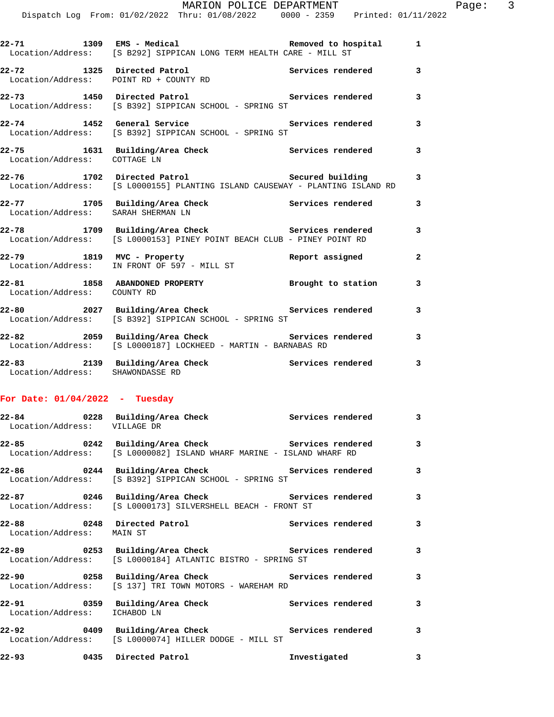|                                    | Dispatch Log From: 01/02/2022 Thru: 01/08/2022   0000 - 2359   Printed: 01/11/2022                                                     | MARION POLICE DEPARTMENT | Page: $3$      |
|------------------------------------|----------------------------------------------------------------------------------------------------------------------------------------|--------------------------|----------------|
|                                    | 22-71 1309 EMS - Medical 1 22-71 Removed to hospital 1<br>Location/Address: [S B292] SIPPICAN LONG TERM HEALTH CARE - MILL ST          |                          |                |
|                                    | 22-72 1325 Directed Patrol                             Services rendered         3<br>Location/Address:     POINT RD + COUNTY RD       |                          |                |
|                                    | 22-73 1450 Directed Patrol 22-73 Services rendered 3<br>Location/Address: [S B392] SIPPICAN SCHOOL - SPRING ST                         |                          |                |
|                                    | 22-74 1452 General Service 22-74 Services rendered 3<br>Location/Address: [S B392] SIPPICAN SCHOOL - SPRING ST                         |                          |                |
| Location/Address: COTTAGE LN       | 22-75 1631 Building/Area Check Services rendered 3                                                                                     |                          |                |
|                                    | 22-76 1702 Directed Patrol 1988 and Secured building 3<br>Location/Address: [S L0000155] PLANTING ISLAND CAUSEWAY - PLANTING ISLAND RD |                          |                |
| Location/Address: SARAH SHERMAN LN | 22-77 1705 Building/Area Check Services rendered                                                                                       |                          | 3              |
|                                    | 22-78 1709 Building/Area Check Services rendered 3<br>Location/Address: [S L0000153] PINEY POINT BEACH CLUB - PINEY POINT RD           |                          |                |
|                                    | 22-79 1819 MVC - Property<br>Location/Address: IN FRONT OF 597 - MILL ST Report assigned                                               |                          | $\overline{a}$ |
| Location/Address: COUNTY RD        |                                                                                                                                        |                          |                |
|                                    | 22-80 2027 Building/Area Check 2007 Services rendered 3<br>Location/Address: [S B392] SIPPICAN SCHOOL - SPRING ST                      |                          |                |
|                                    | 22-82 2059 Building/Area Check 2010 Services rendered<br>Location/Address: [S L0000187] LOCKHEED - MARTIN - BARNABAS RD                |                          | 3              |
| Location/Address: SHAWONDASSE RD   | 22-83 2139 Building/Area Check Services rendered                                                                                       |                          | 3              |

## **For Date: 01/04/2022 - Tuesday**

| Location/Address: VILLAGE DR |                                                                                                                        | $\overline{3}$          |
|------------------------------|------------------------------------------------------------------------------------------------------------------------|-------------------------|
|                              | Location/Address: [S L0000082] ISLAND WHARF MARINE - ISLAND WHARF RD                                                   |                         |
|                              | Location/Address: [S B392] SIPPICAN SCHOOL - SPRING ST                                                                 |                         |
|                              | Location/Address: [S L0000173] SILVERSHELL BEACH - FRONT ST                                                            |                         |
| Location/Address: MAIN ST    |                                                                                                                        |                         |
|                              | 22-89 		 0253 Building/Area Check 		 Services rendered 3<br>Location/Address: [S L0000184] ATLANTIC BISTRO - SPRING ST |                         |
|                              | Location/Address: [S 137] TRI TOWN MOTORS - WAREHAM RD                                                                 |                         |
| Location/Address: ICHABOD LN | 22-91 		 0359 Building/Area Check 		 Services rendered                                                                 | $\mathbf{3}$            |
|                              | Location/Address: [S L0000074] HILLER DODGE - MILL ST                                                                  | $\overline{\mathbf{3}}$ |
|                              | 22-93 0435 Directed Patrol <b>120 External 121 External 122-93</b>                                                     | 3                       |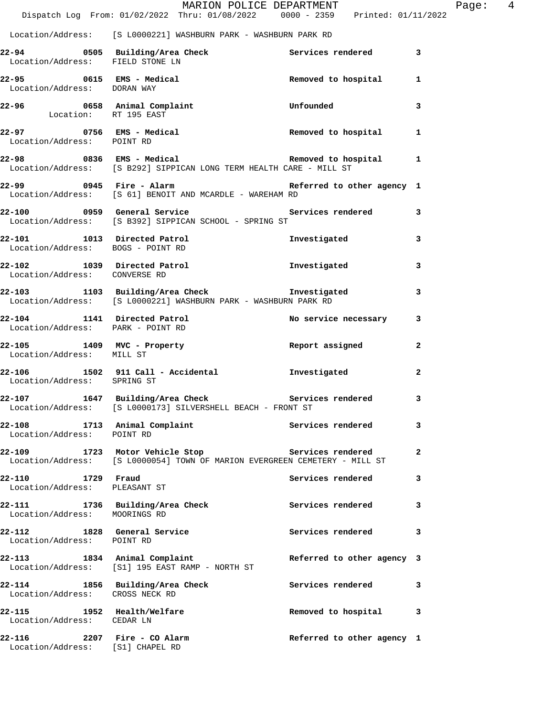|                                                                 | MARION POLICE DEPARTMENT<br>Dispatch Log From: 01/02/2022 Thru: 01/08/2022 0000 - 2359 Printed: 01/11/2022                               |                            |              |
|-----------------------------------------------------------------|------------------------------------------------------------------------------------------------------------------------------------------|----------------------------|--------------|
|                                                                 | Location/Address: [S L0000221] WASHBURN PARK - WASHBURN PARK RD                                                                          |                            |              |
| Location/Address: FIELD STONE LN                                | 22-94 		 0505 Building/Area Check 		 Services rendered 3                                                                                 |                            |              |
| 22-95 0615 EMS - Medical<br>Location/Address: DORAN WAY         |                                                                                                                                          | Removed to hospital        | 1            |
| Location: RT 195 EAST                                           | 22-96 0658 Animal Complaint                                                                                                              | Unfounded                  | 3            |
| Location/Address: POINT RD                                      | 22-97 0756 EMS - Medical                                                                                                                 | Removed to hospital        | 1            |
|                                                                 | 22-98 0836 EMS - Medical <b>EMS</b> - Medical Removed to hospital<br>Location/Address: [S B292] SIPPICAN LONG TERM HEALTH CARE - MILL ST |                            | 1            |
|                                                                 | 22-99 		 0945 Fire - Alarm 		 Referred to other agency 1<br>Location/Address: [S 61] BENOIT AND MCARDLE - WAREHAM RD                     |                            |              |
|                                                                 | 22-100 0959 General Service <b>1988 Services</b> rendered<br>Location/Address: [S B392] SIPPICAN SCHOOL - SPRING ST                      |                            | 3            |
| Location/Address: BOGS - POINT RD                               | 22-101 1013 Directed Patrol                                                                                                              | Investigated               | 3            |
| 22-102 1039 Directed Patrol<br>Location/Address: CONVERSE RD    |                                                                                                                                          | Investigated               | 3            |
|                                                                 | 22-103 1103 Building/Area Check 5 Investigated<br>Location/Address: [S L0000221] WASHBURN PARK - WASHBURN PARK RD                        |                            | 3            |
| Location/Address: PARK - POINT RD                               | 22-104 1141 Directed Patrol                                                                                                              | No service necessary       | 3            |
| Location/Address: MILL ST                                       | 22-105 1409 MVC - Property                                                                                                               | Report assigned            | $\mathbf{2}$ |
| Location/Address: SPRING ST                                     | 22-106 1502 911 Call - Accidental                                                                                                        | Investigated               | $\mathbf{2}$ |
| 22-107                                                          | 1647 Building/Area Check<br>Location/Address: [S L0000173] SILVERSHELL BEACH - FRONT ST                                                  | Services rendered          | 3            |
| 22-108 1713 Animal Complaint<br>Location/Address: POINT RD      |                                                                                                                                          | Services rendered          | 3            |
|                                                                 | 22-109 1723 Motor Vehicle Stop Services rendered<br>Location/Address: [S L0000054] TOWN OF MARION EVERGREEN CEMETERY - MILL ST           |                            | 2            |
| 22-110 1729 Fraud<br>Location/Address: PLEASANT ST              |                                                                                                                                          | Services rendered          | 3            |
| Location/Address: MOORINGS RD                                   | 22-111 1736 Building/Area Check                                                                                                          | Services rendered          | 3            |
| 22-112 1828 General Service<br>Location/Address: POINT RD       |                                                                                                                                          | Services rendered          | 3            |
| 22-113 1834 Animal Complaint                                    | Location/Address: [S1] 195 EAST RAMP - NORTH ST                                                                                          | Referred to other agency 3 |              |
| Location/Address: CROSS NECK RD                                 | 22-114 1856 Building/Area Check                                                                                                          | Services rendered          | 3            |
| 22-115<br>Location/Address: CEDAR LN                            | 1952 Health/Welfare                                                                                                                      | Removed to hospital        | 3            |
| 22-116 2207 Fire - CO Alarm<br>Location/Address: [S1] CHAPEL RD |                                                                                                                                          | Referred to other agency 1 |              |

Page: 4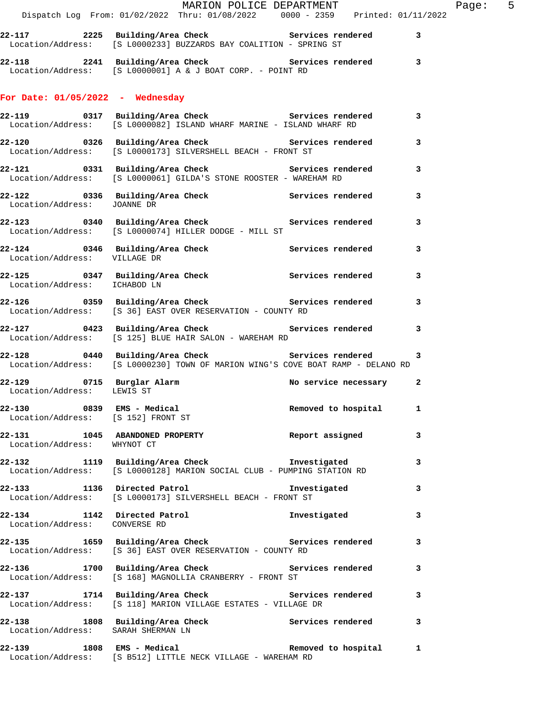|                                                                 | MARION POLICE DEPARTMENT<br>Dispatch Log From: 01/02/2022 Thru: 01/08/2022 0000 - 2359 Printed: 01/11/2022                               |                        | Page: 5 |
|-----------------------------------------------------------------|------------------------------------------------------------------------------------------------------------------------------------------|------------------------|---------|
|                                                                 | 22-117 2225 Building/Area Check Services rendered 3                                                                                      |                        |         |
|                                                                 | Location/Address: [S L0000233] BUZZARDS BAY COALITION - SPRING ST                                                                        |                        |         |
|                                                                 | 22-118 2241 Building/Area Check 5ervices rendered 3<br>Location/Address: [S L0000001] A & J BOAT CORP. - POINT RD                        |                        |         |
| For Date: $01/05/2022 -$ Wednesday                              |                                                                                                                                          |                        |         |
|                                                                 | 22-119 0317 Building/Area Check 6 Services rendered 3<br>Location/Address: [S L0000082] ISLAND WHARF MARINE - ISLAND WHARF RD            |                        |         |
|                                                                 | 22-120 0326 Building/Area Check Services rendered 3<br>Location/Address: [S L0000173] SILVERSHELL BEACH - FRONT ST                       |                        |         |
|                                                                 | 22-121 0331 Building/Area Check Services rendered 3<br>Location/Address: [S L0000061] GILDA'S STONE ROOSTER - WAREHAM RD                 |                        |         |
|                                                                 |                                                                                                                                          |                        |         |
|                                                                 | 22-123 0340 Building/Area Check Services rendered<br>Location/Address: [S L0000074] HILLER DODGE - MILL ST                               |                        | 3       |
| Location/Address: VILLAGE DR                                    | 22-124 0346 Building/Area Check Services rendered 3                                                                                      |                        |         |
| Location/Address: ICHABOD LN                                    | 22-125 0347 Building/Area Check Services rendered                                                                                        |                        | 3       |
|                                                                 | 22-126 		 0359 Building/Area Check 		 Services rendered 3<br>Location/Address: [S 36] EAST OVER RESERVATION - COUNTY RD                  |                        |         |
|                                                                 | 22-127 0423 Building/Area Check Services rendered<br>Location/Address: [S 125] BLUE HAIR SALON - WAREHAM RD                              |                        | 3       |
|                                                                 | 22-128 0440 Building/Area Check 6 Services rendered 3<br>Location/Address: [S L0000230] TOWN OF MARION WING'S COVE BOAT RAMP - DELANO RD |                        |         |
| Location/Address: LEWIS ST                                      | 22-129 0715 Burglar Alarm                                                                                                                | No service necessary 2 |         |
| 22-130 0839 EMS - Medical<br>Location/Address: [S 152] FRONT ST |                                                                                                                                          | Removed to hospital    | 1       |
| Location/Address: WHYNOT CT                                     | 22-131 1045 ABANDONED PROPERTY 1997 Report assigned                                                                                      |                        | 3       |
|                                                                 | 22-132 1119 Building/Area Check Investigated<br>Location/Address: [S L0000128] MARION SOCIAL CLUB - PUMPING STATION RD                   |                        | 3       |
|                                                                 | 22-133 1136 Directed Patrol 1136 1nvestigated<br>Location/Address: [S L0000173] SILVERSHELL BEACH - FRONT ST                             |                        | 3       |
| Location/Address: CONVERSE RD                                   | 22-134 1142 Directed Patrol 1193 Investigated                                                                                            |                        | 3       |
|                                                                 | 22-135 1659 Building/Area Check 5ervices rendered 3<br>Location/Address: [S 36] EAST OVER RESERVATION - COUNTY RD                        |                        |         |
|                                                                 | 22-136 1700 Building/Area Check 5ervices rendered 3<br>Location/Address: [S 168] MAGNOLLIA CRANBERRY - FRONT ST                          |                        |         |
|                                                                 | 22-137 1714 Building/Area Check 5 Services rendered 3<br>Location/Address: [S 118] MARION VILLAGE ESTATES - VILLAGE DR                   |                        |         |
| Location/Address: SARAH SHERMAN LN                              | 22-138 1808 Building/Area Check 1997 Services rendered 3                                                                                 |                        |         |
|                                                                 | 22-139 1808 EMS - Medical 1 1 Removed to hospital 1<br>Location/Address: [S B512] LITTLE NECK VILLAGE - WAREHAM RD                       |                        |         |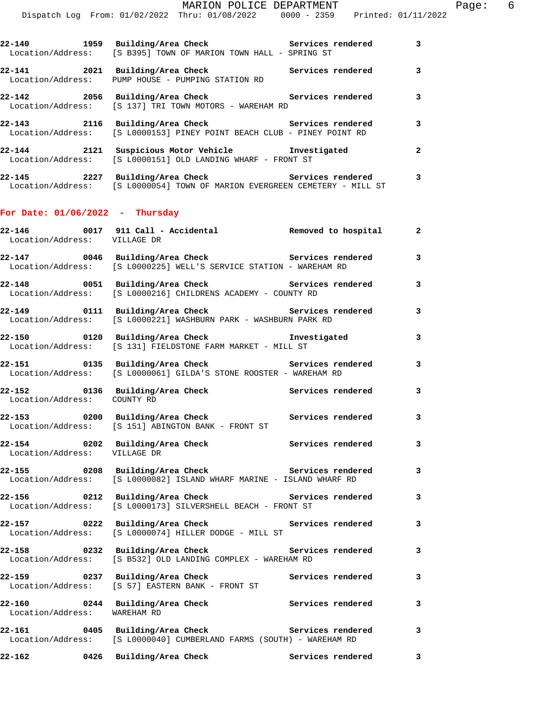|                                                                                                                | 22-140 1959 Building/Area Check Services rendered 3<br>Location/Address: [S B395] TOWN OF MARION TOWN HALL - SPRING ST            |  |
|----------------------------------------------------------------------------------------------------------------|-----------------------------------------------------------------------------------------------------------------------------------|--|
|                                                                                                                | 22-141 2021 Building/Area Check 2011 Services rendered 3<br>Location/Address: PUMP HOUSE - PUMPING STATION RD                     |  |
|                                                                                                                | 22-142 2056 Building/Area Check 2015 Services rendered 3<br>Location/Address: [S 137] TRI TOWN MOTORS - WAREHAM RD                |  |
|                                                                                                                | 22-143 2116 Building/Area Check Services rendered 3<br>Location/Address: [S L0000153] PINEY POINT BEACH CLUB - PINEY POINT RD     |  |
|                                                                                                                | 22-144 2121 Suspicious Motor Vehicle Threstigated 2<br>Location/Address: [S L0000151] OLD LANDING WHARF - FRONT ST                |  |
|                                                                                                                | 22-145 2227 Building/Area Check 5ervices rendered 3<br>Location/Address: [S L0000054] TOWN OF MARION EVERGREEN CEMETERY - MILL ST |  |
| For Date: $01/06/2022 - Thursday$                                                                              |                                                                                                                                   |  |
| Location/Address: VILLAGE DR                                                                                   |                                                                                                                                   |  |
|                                                                                                                | 22-147 0046 Building/Area Check 5 Services rendered 3<br>Location/Address: [S L0000225] WELL'S SERVICE STATION - WAREHAM RD       |  |
| 그 사람들은 그 사람들은 아이들이 아니라 아이들은 아이들이 아니라 아이들이 아니라 아이들이 아니라 아이들이 아니라 아이들이 아니라 아이들이 아니라 아이들이 아니라 아이들이 아니라 아이들이 아니라 아 |                                                                                                                                   |  |

- **22-148 0051 Building/Area Check Services rendered 3**  Location/Address: [S L0000216] CHILDRENS ACADEMY - COUNTY RD
- **22-149 0111 Building/Area Check Services rendered 3**  Location/Address: [S L0000221] WASHBURN PARK - WASHBURN PARK RD
- **22-150 0120 Building/Area Check Investigated 3**  Location/Address: [S 131] FIELDSTONE FARM MARKET - MILL ST
- **22-151 0135 Building/Area Check Services rendered 3**  Location/Address: [S L0000061] GILDA'S STONE ROOSTER - WAREHAM RD
- 22-152 0136 Building/Area Check **Services rendered** 3 Location/Address: COUNTY RD
- **22-153 0200 Building/Area Check Services rendered 3**  Location/Address: [S 151] ABINGTON BANK - FRONT ST
- **22-154 0202 Building/Area Check Services rendered 3**  Location/Address: VILLAGE DR **22-155 0208 Building/Area Check Services rendered 3**
- Location/Address: [S L0000082] ISLAND WHARF MARINE ISLAND WHARF RD
- 22-156 0212 Building/Area Check **Services rendered** 3 Location/Address: [S L0000173] SILVERSHELL BEACH - FRONT ST
- **22-157 0222 Building/Area Check Services rendered 3**  Location/Address: [S L0000074] HILLER DODGE - MILL ST
- **22-158 0232 Building/Area Check Services rendered 3**  Location/Address: [S B532] OLD LANDING COMPLEX - WAREHAM RD **22-159 0237 Building/Area Check Services rendered 3**
- Location/Address: [S 57] EASTERN BANK FRONT ST **22-160 0244 Building/Area Check Services rendered 3**
- Location/Address: WAREHAM RD **22-161 0405 Building/Area Check Services rendered 3**  Location/Address: [S L0000040] CUMBERLAND FARMS (SOUTH) - WAREHAM RD
- **22-162 0426 Building/Area Check Services rendered 3**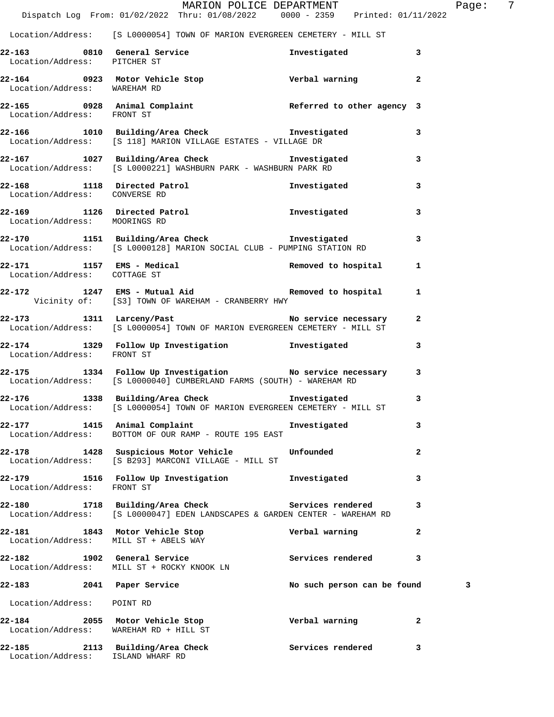|                                        | MARION POLICE DEPARTMENT<br>Dispatch Log From: 01/02/2022 Thru: 01/08/2022 0000 - 2359 Printed: 01/11/2022                       |                             | 7<br>Page:     |
|----------------------------------------|----------------------------------------------------------------------------------------------------------------------------------|-----------------------------|----------------|
|                                        | Location/Address: [S L0000054] TOWN OF MARION EVERGREEN CEMETERY - MILL ST                                                       |                             |                |
| Location/Address: PITCHER ST           | 22-163 0810 General Service                                                                                                      | Investigated                | 3              |
| Location/Address: WAREHAM RD           | 22-164 0923 Motor Vehicle Stop Controller verbal warning                                                                         |                             | $\mathbf{2}$   |
| Location/Address: FRONT ST             | $22-165$ 0928 Animal Complaint Referred to other agency 3                                                                        |                             |                |
|                                        | 22-166 1010 Building/Area Check Tnvestigated<br>Location/Address: [S 118] MARION VILLAGE ESTATES - VILLAGE DR                    |                             | 3              |
|                                        | 22-167 1027 Building/Area Check 1nvestigated<br>Location/Address: [S L0000221] WASHBURN PARK - WASHBURN PARK RD                  |                             | 3              |
| Location/Address: CONVERSE RD          | 22-168 1118 Directed Patrol                                                                                                      | Investigated                | 3              |
| Location/Address: MOORINGS RD          | 22-169 1126 Directed Patrol 1126 1nvestigated                                                                                    |                             | 3              |
|                                        | 22-170 1151 Building/Area Check Investigated<br>Location/Address: [S L0000128] MARION SOCIAL CLUB - PUMPING STATION RD           |                             | 3              |
| Location/Address: COTTAGE ST           | $22-171$ 1157 EMS - Medical Removed to hospital 1                                                                                |                             |                |
|                                        | 1247 EMS - Mutual Aid<br>Vicinity of: [S3] TOWN OF WAREHAM - CRANBERRY HWY                                                       |                             |                |
|                                        | 22-173 1311 Larceny/Past 22-173<br>Location/Address: [S L0000054] TOWN OF MARION EVERGREEN CEMETERY - MILL ST                    |                             | $\mathbf{2}$   |
|                                        | 22-174 1329 Follow Up Investigation <b>Investigated</b><br>Location/Address: FRONT ST                                            |                             | 3              |
|                                        | 22-175 1334 Follow Up Investigation No service necessary<br>Location/Address: [S L0000040] CUMBERLAND FARMS (SOUTH) - WAREHAM RD |                             | 3              |
|                                        | 22-176 1338 Building/Area Check<br>Location/Address: [S L0000054] TOWN OF MARION EVERGREEN CEMETERY - MILL ST                    | Investigated                | 3              |
|                                        | 22-177 1415 Animal Complaint<br>Location/Address: BOTTOM OF OUR RAMP - ROUTE 195 EAST                                            | Investigated                | 3              |
|                                        | 22-178 1428 Suspicious Motor Vehicle Unfounded<br>Location/Address: [S B293] MARCONI VILLAGE - MILL ST                           |                             | 2              |
| Location/Address: FRONT ST             | 22-179 1516 Follow Up Investigation                                                                                              | Investigated                | 3              |
|                                        | 22-180 1718 Building/Area Check Services rendered<br>Location/Address: [S L0000047] EDEN LANDSCAPES & GARDEN CENTER - WAREHAM RD |                             | 3              |
|                                        | 22-181 1843 Motor Vehicle Stop<br>Location/Address: MILL ST + ABELS WAY                                                          | Verbal warning              | $\overline{a}$ |
|                                        | 22-182 1902 General Service<br>Location/Address: MILL ST + ROCKY KNOOK LN                                                        | Services rendered           | 3              |
| 22-183 2041 Paper Service              |                                                                                                                                  | No such person can be found | 3              |
| Location/Address: POINT RD             |                                                                                                                                  |                             |                |
| Location/Address: WAREHAM RD + HILL ST | 22-184 2055 Motor Vehicle Stop                                                                                                   | Verbal warning              | 2              |
| Location/Address: ISLAND WHARF RD      | 22-185 2113 Building/Area Check                                                                                                  | Services rendered           | 3              |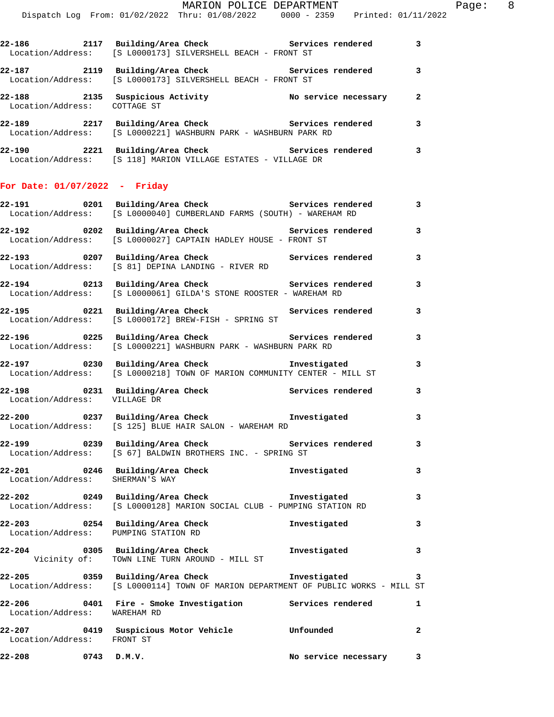| $22 - 186$                             | 2117 | Building/Area Check<br>Location/Address: [S L0000173] SILVERSHELL BEACH - FRONT ST       | Services rendered    | 3 |
|----------------------------------------|------|------------------------------------------------------------------------------------------|----------------------|---|
| 22-187                                 | 2119 | Building/Area Check<br>Location/Address: [S L0000173] SILVERSHELL BEACH - FRONT ST       | Services rendered    |   |
| 22-188<br>Location/Address: COTTAGE ST | 2135 | Suspicious Activity                                                                      | No service necessary | 2 |
| 22-189                                 | 2217 | Building/Area Check<br>  Location/Address: [S L0000221] WASHBURN PARK - WASHBURN PARK RD | Services rendered    | 3 |

| 22-190            | 2221 Building/Area Check |  |  | Services rendered                           |  |  |
|-------------------|--------------------------|--|--|---------------------------------------------|--|--|
| Location/Address: |                          |  |  | [S 118] MARION VILLAGE ESTATES - VILLAGE DR |  |  |

## **For Date: 01/07/2022 - Friday**

|                                        | Location/Address: [S L0000040] CUMBERLAND FARMS (SOUTH) - WAREHAM RD                                                                |                        | $\overline{\mathbf{3}}$  |
|----------------------------------------|-------------------------------------------------------------------------------------------------------------------------------------|------------------------|--------------------------|
|                                        | 22-192 0202 Building/Area Check 5ervices rendered 3<br>Location/Address: [S L0000027] CAPTAIN HADLEY HOUSE - FRONT ST               |                        |                          |
|                                        | 22-193 0207 Building/Area Check <b>Services</b> rendered 3<br>Location/Address: [S 81] DEPINA LANDING - RIVER RD                    |                        |                          |
|                                        | 22-194 0213 Building/Area Check<br>Location/Address: [S L0000061] GILDA'S STONE ROOSTER - WAREHAM RD                                | Services rendered 3    |                          |
|                                        | 22-195 0221 Building/Area Check<br>Location/Address: [S L0000172] BREW-FISH - SPRING ST                                             | Services rendered      | 3                        |
|                                        | 22-196 0225 Building/Area Check Services rendered 3<br>Location/Address: [S L0000221] WASHBURN PARK - WASHBURN PARK RD              |                        |                          |
|                                        | 22-197 0230 Building/Area Check <b>The Investigated</b><br>Location/Address: [S L0000218] TOWN OF MARION COMMUNITY CENTER - MILL ST |                        | $\overline{\mathbf{3}}$  |
| Location/Address: VILLAGE DR           | 22-198 0231 Building/Area Check Services rendered                                                                                   |                        | $\overline{\mathbf{3}}$  |
|                                        | 22-200       0237  Building/Area Check          Investigated<br>Location/Address: [S 125] BLUE HAIR SALON - WAREHAM RD              |                        | 3                        |
|                                        | 22-199 0239 Building/Area Check<br>Location/Address: [S 67] BALDWIN BROTHERS INC. - SPRING ST                                       | Services rendered 3    |                          |
| Location/Address: SHERMAN'S WAY        | 22-201 0246 Building/Area Check Investigated                                                                                        |                        | 3                        |
|                                        | 22-202 0249 Building/Area Check Investigated<br>Location/Address: [S L0000128] MARION SOCIAL CLUB - PUMPING STATION RD              |                        | $\mathbf{3}$             |
|                                        | 22-203 0254 Building/Area Check <b>The Investigated</b><br>Location/Address: PUMPING STATION RD                                     |                        | $\overline{\mathbf{3}}$  |
|                                        | 22-204 0305 Building/Area Check <b>The Investigated</b><br>Vicinity of: TOWN LINE TURN AROUND - MILL ST                             |                        | $\overline{\mathbf{3}}$  |
|                                        | 22-205 0359 Building/Area Check<br>Location/Address: [S L0000114] TOWN OF MARION DEPARTMENT OF PUBLIC WORKS - MILL ST               | Investigated           | $\mathbf{3}$             |
| 22-206<br>Location/Address: WAREHAM RD | 0401 Fire - Smoke Investigation Services rendered 1                                                                                 |                        |                          |
| Location/Address: FRONT ST             | 22-207 0419 Suspicious Motor Vehicle Unfounded                                                                                      |                        | $\overline{\phantom{a}}$ |
| $22 - 208$ 0743 D.M.V.                 |                                                                                                                                     | No service necessary 3 |                          |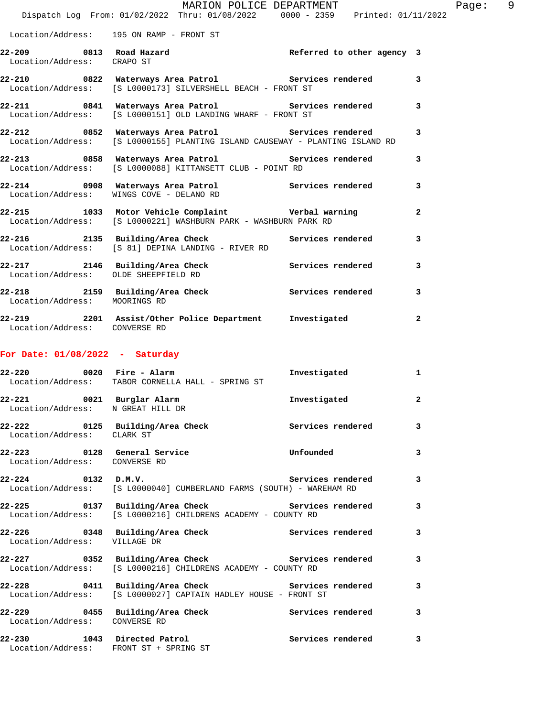|                                                                | MARION POLICE DEPARTMENT<br>Dispatch Log From: 01/02/2022 Thru: 01/08/2022 0000 - 2359 Printed: 01/11/2022                          |                            |                |
|----------------------------------------------------------------|-------------------------------------------------------------------------------------------------------------------------------------|----------------------------|----------------|
|                                                                | Location/Address: 195 ON RAMP - FRONT ST                                                                                            |                            |                |
| Location/Address: CRAPO ST                                     | 22-209 0813 Road Hazard                                                                                                             | Referred to other agency 3 |                |
|                                                                | 22-210 0822 Waterways Area Patrol 1 Services rendered<br>Location/Address: [S L0000173] SILVERSHELL BEACH - FRONT ST                |                            | 3              |
|                                                                | 22-211 0841 Waterways Area Patrol Services rendered<br>Location/Address: [S L0000151] OLD LANDING WHARF - FRONT ST                  |                            | 3              |
|                                                                | 22-212 0852 Waterways Area Patrol Services rendered<br>Location/Address: [S L0000155] PLANTING ISLAND CAUSEWAY - PLANTING ISLAND RD |                            | 3              |
|                                                                | 22-213 0858 Waterways Area Patrol Services rendered<br>Location/Address: [S L0000088] KITTANSETT CLUB - POINT RD                    |                            | 3              |
|                                                                | 22-214 0908 Waterways Area Patrol Services rendered<br>Location/Address: WINGS COVE - DELANO RD                                     |                            | 3              |
|                                                                | 22-215 1033 Motor Vehicle Complaint Corporation Verbal warning<br>Location/Address: [S L0000221] WASHBURN PARK - WASHBURN PARK RD   |                            | $\overline{a}$ |
|                                                                | 22-216 2135 Building/Area Check Services rendered<br>Location/Address: [S 81] DEPINA LANDING - RIVER RD                             |                            | 3              |
| Location/Address: OLDE SHEEPFIELD RD                           | 22-217 2146 Building/Area Check Services rendered                                                                                   |                            | 3              |
| Location/Address: MOORINGS RD                                  | 22-218 2159 Building/Area Check Services rendered                                                                                   |                            | 3              |
| Location/Address: CONVERSE RD                                  | 22-219 2201 Assist/Other Police Department Investigated                                                                             |                            | $\mathbf{2}$   |
| For Date: $01/08/2022 -$ Saturday                              |                                                                                                                                     |                            |                |
|                                                                | $22-220$ 0020 Fire - Alarm<br>Location/Address: TABOR CORNELLA HALL - SPRING ST                                                     | Investigated               | 1              |
| 22-221 0021 Burglar Alarm<br>Location/Address: N GREAT HILL DR |                                                                                                                                     | Investigated               | $\mathbf{2}$   |
| Location/Address: CLARK ST                                     | 22-222 			 0125 Building/Area Check 				 Services rendered                                                                          |                            | 3              |
| 22-223 0128 General Service<br>Location/Address: CONVERSE RD   |                                                                                                                                     | Unfounded                  | 3              |
| $22 - 224$ 0132 D.M.V.                                         | Location/Address: [S L0000040] CUMBERLAND FARMS (SOUTH) - WAREHAM RD                                                                | Services rendered          | 3              |
|                                                                | 22-225 		 0137 Building/Area Check 		 Services rendered<br>Location/Address: [S L0000216] CHILDRENS ACADEMY - COUNTY RD             |                            | 3              |
| Location/Address: VILLAGE DR                                   |                                                                                                                                     |                            | 3              |
|                                                                | 22-227 		 0352 Building/Area Check 		 Services rendered<br>Location/Address: [S L0000216] CHILDRENS ACADEMY - COUNTY RD             |                            | 3              |
|                                                                | 22-228 0411 Building/Area Check Services rendered<br>Location/Address: [S L0000027] CAPTAIN HADLEY HOUSE - FRONT ST                 |                            | 3              |
| Location/Address: CONVERSE RD                                  | 22-229 0455 Building/Area Check                                                                                                     | Services rendered          | 3              |
| 22-230 1043 Directed Patrol                                    | Location/Address: FRONT ST + SPRING ST                                                                                              | Services rendered          | 3              |

Page: 9